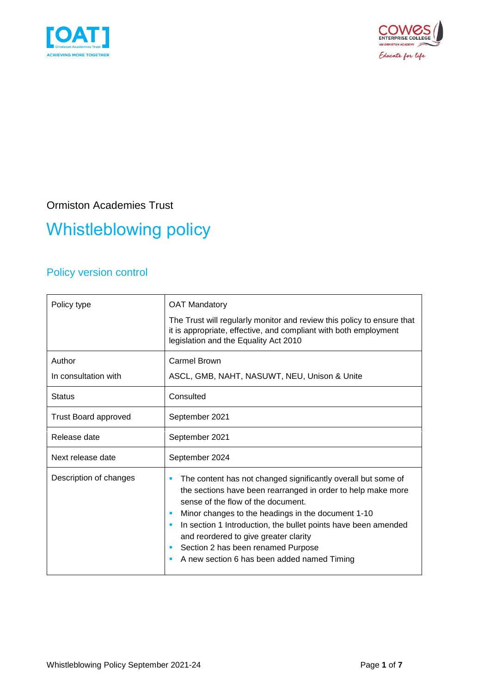



Ormiston Academies Trust

### Whistleblowing policy

#### Policy version control

| Policy type                 | <b>OAT Mandatory</b>                                                                                                                                                                                                                                                                                                                                                                                                                |
|-----------------------------|-------------------------------------------------------------------------------------------------------------------------------------------------------------------------------------------------------------------------------------------------------------------------------------------------------------------------------------------------------------------------------------------------------------------------------------|
|                             | The Trust will regularly monitor and review this policy to ensure that<br>it is appropriate, effective, and compliant with both employment<br>legislation and the Equality Act 2010                                                                                                                                                                                                                                                 |
| Author                      | Carmel Brown                                                                                                                                                                                                                                                                                                                                                                                                                        |
| In consultation with        | ASCL, GMB, NAHT, NASUWT, NEU, Unison & Unite                                                                                                                                                                                                                                                                                                                                                                                        |
| <b>Status</b>               | Consulted                                                                                                                                                                                                                                                                                                                                                                                                                           |
| <b>Trust Board approved</b> | September 2021                                                                                                                                                                                                                                                                                                                                                                                                                      |
| Release date                | September 2021                                                                                                                                                                                                                                                                                                                                                                                                                      |
| Next release date           | September 2024                                                                                                                                                                                                                                                                                                                                                                                                                      |
| Description of changes      | The content has not changed significantly overall but some of<br>the sections have been rearranged in order to help make more<br>sense of the flow of the document.<br>Minor changes to the headings in the document 1-10<br>ш<br>In section 1 Introduction, the bullet points have been amended<br>п<br>and reordered to give greater clarity<br>Section 2 has been renamed Purpose<br>A new section 6 has been added named Timing |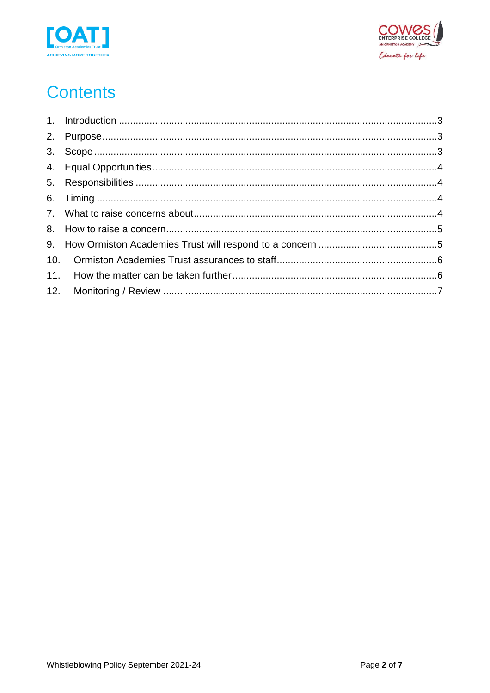



# **Contents**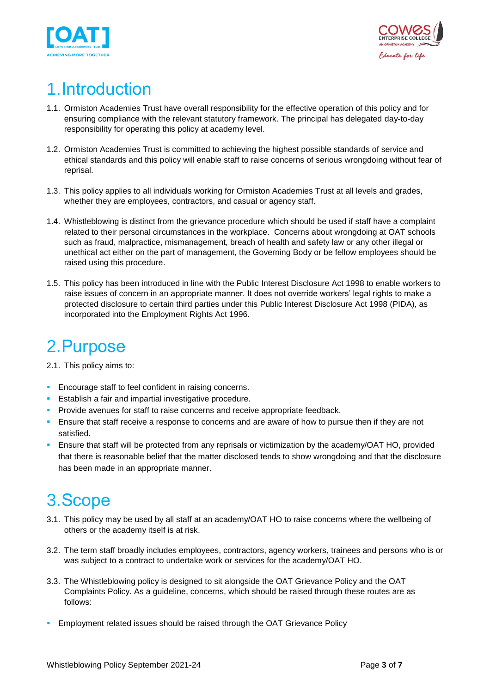



# <span id="page-2-0"></span>1.Introduction

- 1.1. Ormiston Academies Trust have overall responsibility for the effective operation of this policy and for ensuring compliance with the relevant statutory framework. The principal has delegated day-to-day responsibility for operating this policy at academy level.
- 1.2. Ormiston Academies Trust is committed to achieving the highest possible standards of service and ethical standards and this policy will enable staff to raise concerns of serious wrongdoing without fear of reprisal.
- 1.3. This policy applies to all individuals working for Ormiston Academies Trust at all levels and grades, whether they are employees, contractors, and casual or agency staff.
- 1.4. Whistleblowing is distinct from the grievance procedure which should be used if staff have a complaint related to their personal circumstances in the workplace. Concerns about wrongdoing at OAT schools such as fraud, malpractice, mismanagement, breach of health and safety law or any other illegal or unethical act either on the part of management, the Governing Body or be fellow employees should be raised using this procedure.
- 1.5. This policy has been introduced in line with the Public Interest Disclosure Act 1998 to enable workers to raise issues of concern in an appropriate manner. It does not override workers' legal rights to make a protected disclosure to certain third parties under this Public Interest Disclosure Act 1998 (PIDA), as incorporated into the Employment Rights Act 1996.

#### <span id="page-2-1"></span>2.Purpose

2.1. This policy aims to:

- **Encourage staff to feel confident in raising concerns.**
- **Establish a fair and impartial investigative procedure.**
- **•** Provide avenues for staff to raise concerns and receive appropriate feedback.
- **E** Ensure that staff receive a response to concerns and are aware of how to pursue then if they are not satisfied.
- **E** Ensure that staff will be protected from any reprisals or victimization by the academy/OAT HO, provided that there is reasonable belief that the matter disclosed tends to show wrongdoing and that the disclosure has been made in an appropriate manner.

# <span id="page-2-2"></span>3.Scope

- 3.1. This policy may be used by all staff at an academy/OAT HO to raise concerns where the wellbeing of others or the academy itself is at risk.
- 3.2. The term staff broadly includes employees, contractors, agency workers, trainees and persons who is or was subject to a contract to undertake work or services for the academy/OAT HO.
- 3.3. The Whistleblowing policy is designed to sit alongside the OAT Grievance Policy and the OAT Complaints Policy. As a guideline, concerns, which should be raised through these routes are as follows:
- **Employment related issues should be raised through the OAT Grievance Policy**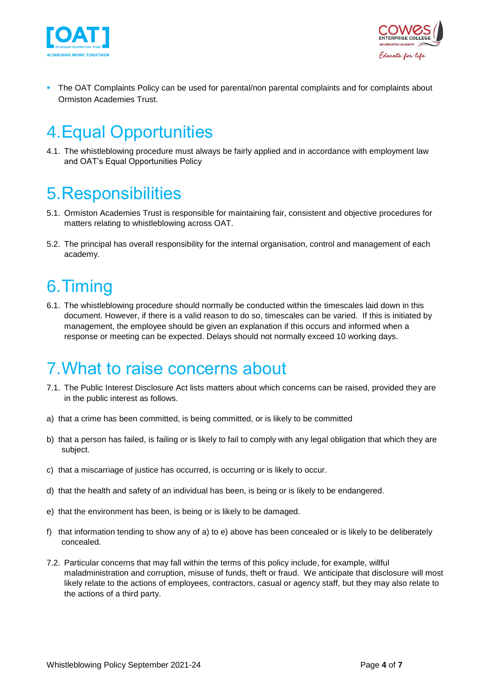



■ The OAT Complaints Policy can be used for parental/non parental complaints and for complaints about Ormiston Academies Trust.

# <span id="page-3-0"></span>4.Equal Opportunities

4.1. The whistleblowing procedure must always be fairly applied and in accordance with employment law and OAT's Equal Opportunities Policy

#### <span id="page-3-1"></span>5.Responsibilities

- 5.1. Ormiston Academies Trust is responsible for maintaining fair, consistent and objective procedures for matters relating to whistleblowing across OAT.
- 5.2. The principal has overall responsibility for the internal organisation, control and management of each academy.

# <span id="page-3-2"></span>6.Timing

6.1. The whistleblowing procedure should normally be conducted within the timescales laid down in this document. However, if there is a valid reason to do so, timescales can be varied. If this is initiated by management, the employee should be given an explanation if this occurs and informed when a response or meeting can be expected. Delays should not normally exceed 10 working days.

#### <span id="page-3-3"></span>7.What to raise concerns about

- 7.1. The Public Interest Disclosure Act lists matters about which concerns can be raised, provided they are in the public interest as follows.
- a) that a crime has been committed, is being committed, or is likely to be committed
- b) that a person has failed, is failing or is likely to fail to comply with any legal obligation that which they are subject.
- c) that a miscarriage of justice has occurred, is occurring or is likely to occur.
- d) that the health and safety of an individual has been, is being or is likely to be endangered.
- e) that the environment has been, is being or is likely to be damaged.
- f) that information tending to show any of a) to e) above has been concealed or is likely to be deliberately concealed.
- 7.2. Particular concerns that may fall within the terms of this policy include, for example, willful maladministration and corruption, misuse of funds, theft or fraud. We anticipate that disclosure will most likely relate to the actions of employees, contractors, casual or agency staff, but they may also relate to the actions of a third party.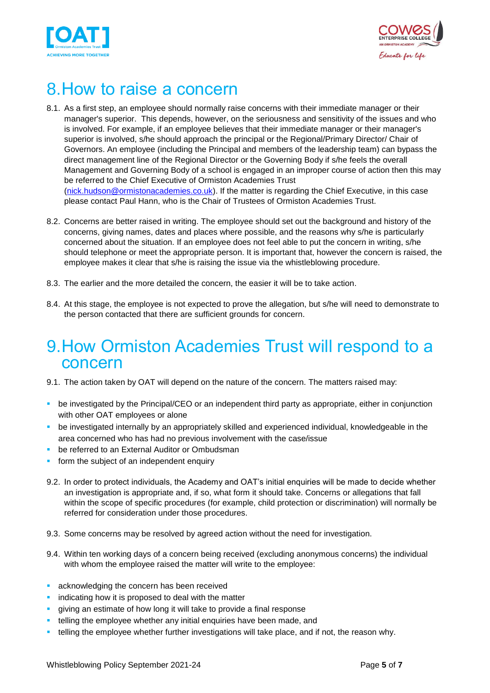



### <span id="page-4-0"></span>8.How to raise a concern

- 8.1. As a first step, an employee should normally raise concerns with their immediate manager or their manager's superior. This depends, however, on the seriousness and sensitivity of the issues and who is involved. For example, if an employee believes that their immediate manager or their manager's superior is involved, s/he should approach the principal or the Regional/Primary Director/ Chair of Governors. An employee (including the Principal and members of the leadership team) can bypass the direct management line of the Regional Director or the Governing Body if s/he feels the overall Management and Governing Body of a school is engaged in an improper course of action then this may be referred to the Chief Executive of Ormiston Academies Trust [\(nick.hudson@ormistonacademies.co.uk\)](mailto:nick.hudson@ormistonacademies.co.uk). If the matter is regarding the Chief Executive, in this case please contact Paul Hann, who is the Chair of Trustees of Ormiston Academies Trust.
- 8.2. Concerns are better raised in writing. The employee should set out the background and history of the concerns, giving names, dates and places where possible, and the reasons why s/he is particularly concerned about the situation. If an employee does not feel able to put the concern in writing, s/he should telephone or meet the appropriate person. It is important that, however the concern is raised, the employee makes it clear that s/he is raising the issue via the whistleblowing procedure.
- 8.3. The earlier and the more detailed the concern, the easier it will be to take action.
- 8.4. At this stage, the employee is not expected to prove the allegation, but s/he will need to demonstrate to the person contacted that there are sufficient grounds for concern.

#### <span id="page-4-1"></span>9.How Ormiston Academies Trust will respond to a concern

- 9.1. The action taken by OAT will depend on the nature of the concern. The matters raised may:
- be investigated by the Principal/CEO or an independent third party as appropriate, either in conjunction with other OAT employees or alone
- **•** be investigated internally by an appropriately skilled and experienced individual, knowledgeable in the area concerned who has had no previous involvement with the case/issue
- be referred to an External Auditor or Ombudsman
- **•** form the subject of an independent enquiry
- 9.2. In order to protect individuals, the Academy and OAT's initial enquiries will be made to decide whether an investigation is appropriate and, if so, what form it should take. Concerns or allegations that fall within the scope of specific procedures (for example, child protection or discrimination) will normally be referred for consideration under those procedures.
- 9.3. Some concerns may be resolved by agreed action without the need for investigation.
- 9.4. Within ten working days of a concern being received (excluding anonymous concerns) the individual with whom the employee raised the matter will write to the employee:
- **EXEC** acknowledging the concern has been received
- **·** indicating how it is proposed to deal with the matter
- **EXEDENT** giving an estimate of how long it will take to provide a final response
- **EXECTED THE EMPLOY EDMOKED FIRE INCOCO EXECTED** telling the employee whether any initial enquiries have been made, and
- telling the employee whether further investigations will take place, and if not, the reason why.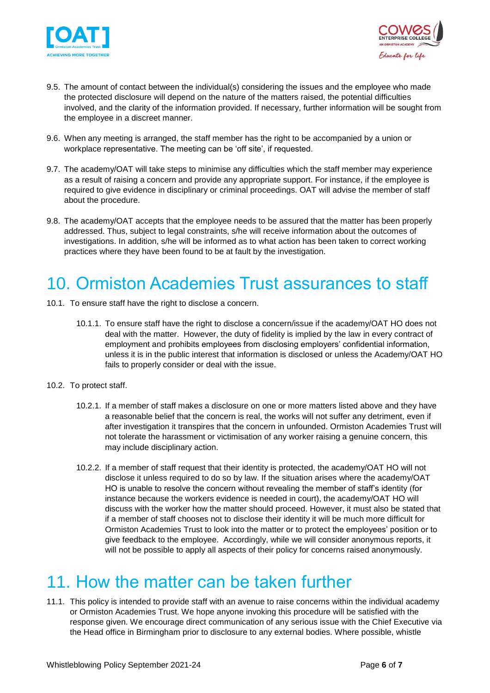



- 9.5. The amount of contact between the individual(s) considering the issues and the employee who made the protected disclosure will depend on the nature of the matters raised, the potential difficulties involved, and the clarity of the information provided. If necessary, further information will be sought from the employee in a discreet manner.
- 9.6. When any meeting is arranged, the staff member has the right to be accompanied by a union or workplace representative. The meeting can be 'off site', if requested.
- 9.7. The academy/OAT will take steps to minimise any difficulties which the staff member may experience as a result of raising a concern and provide any appropriate support. For instance, if the employee is required to give evidence in disciplinary or criminal proceedings. OAT will advise the member of staff about the procedure.
- 9.8. The academy/OAT accepts that the employee needs to be assured that the matter has been properly addressed. Thus, subject to legal constraints, s/he will receive information about the outcomes of investigations. In addition, s/he will be informed as to what action has been taken to correct working practices where they have been found to be at fault by the investigation.

### <span id="page-5-0"></span>10. Ormiston Academies Trust assurances to staff

- 10.1. To ensure staff have the right to disclose a concern.
	- 10.1.1. To ensure staff have the right to disclose a concern/issue if the academy/OAT HO does not deal with the matter. However, the duty of fidelity is implied by the law in every contract of employment and prohibits employees from disclosing employers' confidential information, unless it is in the public interest that information is disclosed or unless the Academy/OAT HO fails to properly consider or deal with the issue.
- 10.2. To protect staff.
	- 10.2.1. If a member of staff makes a disclosure on one or more matters listed above and they have a reasonable belief that the concern is real, the works will not suffer any detriment, even if after investigation it transpires that the concern in unfounded. Ormiston Academies Trust will not tolerate the harassment or victimisation of any worker raising a genuine concern, this may include disciplinary action.
	- 10.2.2. If a member of staff request that their identity is protected, the academy/OAT HO will not disclose it unless required to do so by law. If the situation arises where the academy/OAT HO is unable to resolve the concern without revealing the member of staff's identity (for instance because the workers evidence is needed in court), the academy/OAT HO will discuss with the worker how the matter should proceed. However, it must also be stated that if a member of staff chooses not to disclose their identity it will be much more difficult for Ormiston Academies Trust to look into the matter or to protect the employees' position or to give feedback to the employee. Accordingly, while we will consider anonymous reports, it will not be possible to apply all aspects of their policy for concerns raised anonymously.

#### <span id="page-5-1"></span>11. How the matter can be taken further

11.1. This policy is intended to provide staff with an avenue to raise concerns within the individual academy or Ormiston Academies Trust. We hope anyone invoking this procedure will be satisfied with the response given. We encourage direct communication of any serious issue with the Chief Executive via the Head office in Birmingham prior to disclosure to any external bodies. Where possible, whistle